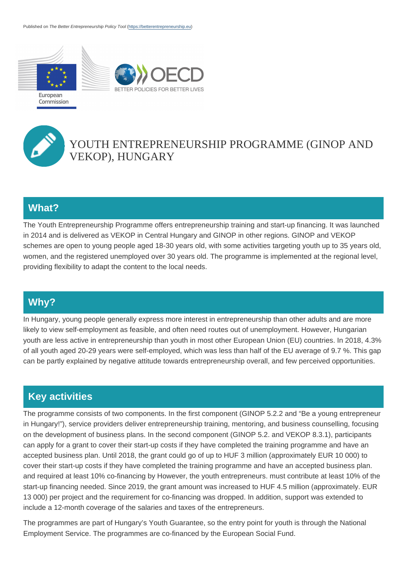

# YOUTH ENTREPRENEURSHIP PROGRAMME (GINOP AND VEKOP), HUNGARY

#### What?

The Youth Entrepreneurship Programme offers entrepreneurship training and start-up financing. It was launched in 2014 and is delivered as VEKOP in Central Hungary and GINOP in other regions. GINOP and VEKOP schemes are open to young people aged 18-30 years old, with some activities targeting youth up to 35 years old, women, and the registered unemployed over 30 years old. The programme is implemented at the regional level, providing flexibility to adapt the content to the local needs.

### Why?

In Hungary, young people generally express more interest in entrepreneurship than other adults and are more likely to view self-employment as feasible, and often need routes out of unemployment. However, Hungarian youth are less active in entrepreneurship than youth in most other European Union (EU) countries. In 2018, 4.3% of all youth aged 20-29 years were self-employed, which was less than half of the EU average of 9.7 %. This gap can be partly explained by negative attitude towards entrepreneurship overall, and few perceived opportunities.

## Key activities

The programme consists of two components. In the first component (GINOP 5.2.2 and "Be a young entrepreneur in Hungary!"), service providers deliver entrepreneurship training, mentoring, and business counselling, focusing on the development of business plans. In the second component (GINOP 5.2. and VEKOP 8.3.1), participants can apply for a grant to cover their start-up costs if they have completed the training programme and have an accepted business plan. Until 2018, the grant could go of up to HUF 3 million (approximately EUR 10 000) to cover their start-up costs if they have completed the training programme and have an accepted business plan. and required at least 10% co-financing by However, the youth entrepreneurs. must contribute at least 10% of the start-up financing needed. Since 2019, the grant amount was increased to HUF 4.5 million (approximately. EUR 13 000) per project and the requirement for co-financing was dropped. In addition, support was extended to include a 12-month coverage of the salaries and taxes of the entrepreneurs.

The programmes are part of Hungary's Youth Guarantee, so the entry point for youth is through the National Employment Service. The programmes are co-financed by the European Social Fund.